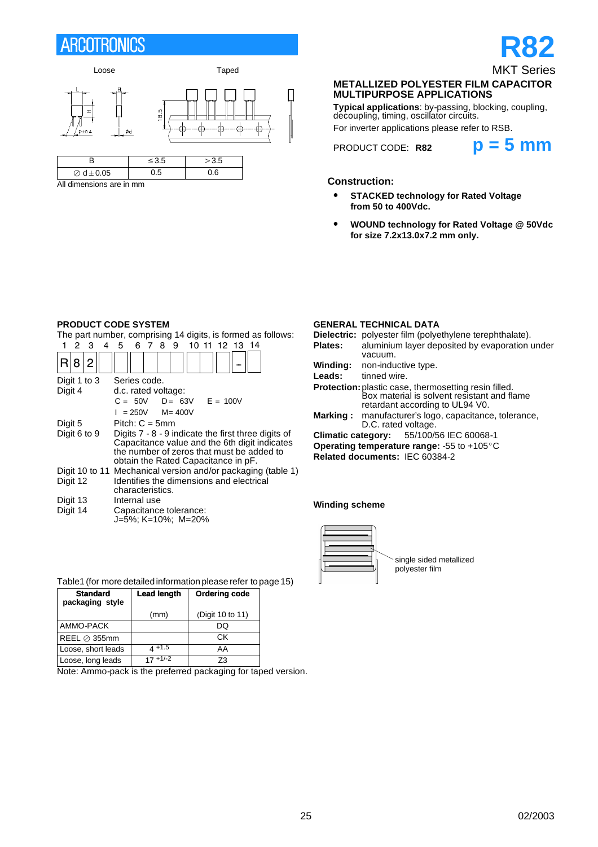# **ARCOTRONICS**



All dimensions are in mm

# **R82** MKT Series

#### **METALLIZED POLYESTER FILM CAPACITOR MULTIPURPOSE APPLICATIONS**

**Typical applications**: by-passing, blocking, coupling, decoupling, timing, oscillator circuits.

For inverter applications please refer to RSB.



### **Construction:**

- S **STACKED technology for Rated Voltage from 50 to 400Vdc.**
- **WOUND technology for Rated Voltage @ 50Vdc for size 7.2x13.0x7.2 mm only.**

#### **PRODUCT CODE SYSTEM**

The part number, comprising 14 digits, is formed as follows:

|              |   | з | 4 | 5                                                                                                                                                                                        | 6 | 78 |  | 9 |                                              |  | 10 11 12 13 14 |  |                                                              |
|--------------|---|---|---|------------------------------------------------------------------------------------------------------------------------------------------------------------------------------------------|---|----|--|---|----------------------------------------------|--|----------------|--|--------------------------------------------------------------|
|              | 8 | 2 |   |                                                                                                                                                                                          |   |    |  |   |                                              |  |                |  |                                                              |
| Digit 1 to 3 |   |   |   | Series code.                                                                                                                                                                             |   |    |  |   |                                              |  |                |  |                                                              |
| Digit 4      |   |   |   | d.c. rated voltage:                                                                                                                                                                      |   |    |  |   |                                              |  |                |  |                                                              |
|              |   |   |   |                                                                                                                                                                                          |   |    |  |   | $C = 50V$ $D = 63V$ $E = 100V$               |  |                |  |                                                              |
|              |   |   |   | $I = 250V$ M=400V                                                                                                                                                                        |   |    |  |   |                                              |  |                |  |                                                              |
| Digit 5      |   |   |   | Pitch: $C = 5$ mm                                                                                                                                                                        |   |    |  |   |                                              |  |                |  |                                                              |
| Digit 6 to 9 |   |   |   | Digits 7 - 8 - 9 indicate the first three digits of<br>Capacitance value and the 6th digit indicates<br>the number of zeros that must be added to<br>obtain the Rated Capacitance in pF. |   |    |  |   |                                              |  |                |  |                                                              |
|              |   |   |   |                                                                                                                                                                                          |   |    |  |   |                                              |  |                |  | Digit 10 to 11 Mechanical version and/or packaging (table 1) |
| Digit 12     |   |   |   | Identifies the dimensions and electrical<br>characteristics.                                                                                                                             |   |    |  |   |                                              |  |                |  |                                                              |
| Digit 13     |   |   |   | Internal use                                                                                                                                                                             |   |    |  |   |                                              |  |                |  |                                                              |
| Digit 14     |   |   |   |                                                                                                                                                                                          |   |    |  |   | Capacitance tolerance:<br>J=5%; K=10%; M=20% |  |                |  |                                                              |

### **GENERAL TECHNICAL DATA**

| Dielectric: polyester film (polyethylene terephthalate).                                                                                       |  |  |  |  |  |  |
|------------------------------------------------------------------------------------------------------------------------------------------------|--|--|--|--|--|--|
| aluminium layer deposited by evaporation under                                                                                                 |  |  |  |  |  |  |
| vacuum.                                                                                                                                        |  |  |  |  |  |  |
| <b>Winding:</b> non-inductive type.                                                                                                            |  |  |  |  |  |  |
| tinned wire.                                                                                                                                   |  |  |  |  |  |  |
| <b>Protection:</b> plastic case, thermosetting resin filled.<br>Box material is solvent resistant and flame<br>retardant according to UL94 V0. |  |  |  |  |  |  |
| manufacturer's logo, capacitance, tolerance,<br>Marking :<br>D.C. rated voltage.                                                               |  |  |  |  |  |  |
| <b>Climatic category:</b> 55/100/56 IEC 60068-1                                                                                                |  |  |  |  |  |  |
| <b>Operating temperature range:</b> -55 to +105 $^{\circ}$ C                                                                                   |  |  |  |  |  |  |
| Related documents: IEC 60384-2                                                                                                                 |  |  |  |  |  |  |
|                                                                                                                                                |  |  |  |  |  |  |

#### **Winding scheme**



| Table1 (for more detailed information please refer to page 15) |  |
|----------------------------------------------------------------|--|
|                                                                |  |
|                                                                |  |

| <b>Standard</b><br>packaging style | <b>Lead length</b> | Ordering code    |
|------------------------------------|--------------------|------------------|
|                                    | (mm)               | (Digit 10 to 11) |
| AMMO-PACK                          |                    | DQ               |
| REEL $\oslash$ 355mm               |                    | СK               |
| Loose, short leads                 | $4 + 1.5$          | AA               |
| Loose, long leads                  | $17 + 1/-2$        | Z3               |

Note: Ammo-pack is the preferred packaging for taped version.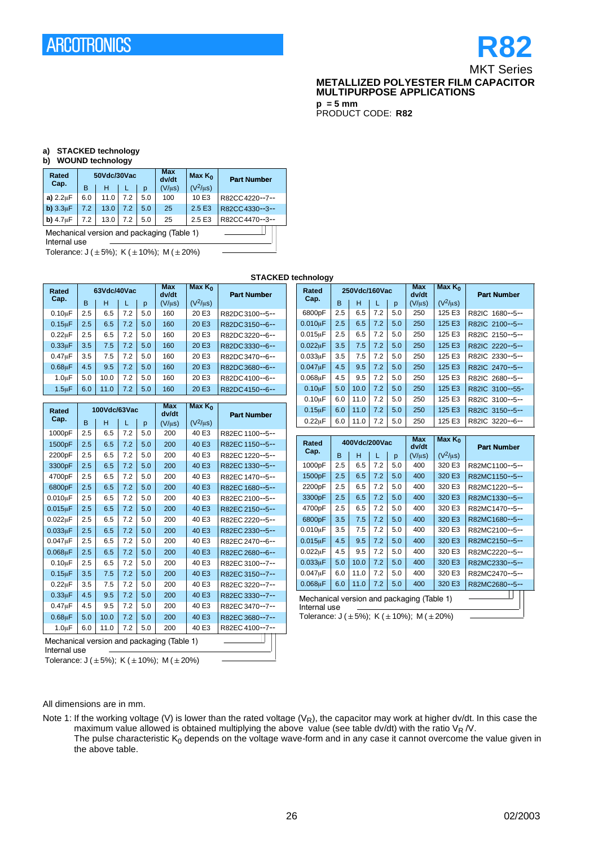# **R82** MKT Series **METALLIZED POLYESTER FILM CAPACITOR MULTIPURPOSE APPLICATIONS**

**p = 5 mm** PRODUCT CODE: **R82**

### **a) STACKED technology**

#### **b) WOUND technology**

| Rated                                                      |     | 50Vdc/30Vac |     |     | <b>Max</b><br>dv/dt | Max $K_0$     | <b>Part Number</b> |  |  |
|------------------------------------------------------------|-----|-------------|-----|-----|---------------------|---------------|--------------------|--|--|
| Cap.                                                       | в   | н           |     | р   | $(V/\mu s)$         | $(V^2/\mu s)$ |                    |  |  |
| a) $2.2 \mu F$                                             | 6.0 | 11.0        | 7.2 | 5.0 | 100                 | 10 E3         | R82CC4220--7--     |  |  |
| b) $3.3\mu F$                                              | 7.2 | 13.0        | 7.2 | 5.0 | 25                  | 2.5 E3        | R82CC4330--3--     |  |  |
| b) $4.7\mu F$                                              | 7.2 | 13.0        | 7.2 | 5.0 | 25                  | 2.5 E3        | R82CC4470--3--     |  |  |
| Mechanical version and packaging (Table 1)<br>Internal use |     |             |     |     |                     |               |                    |  |  |

Tolerance:  $J (\pm 5\%)$ ; K ( $\pm 10\%$ ); M ( $\pm 20\%$ )

**STACKED technology Rated 63Vdc/40Vac Max dv/dt Max K<sub>0</sub> Part Number**<br>**Cap.** B | H | L | p (V/µs) (V<sup>2</sup>/µs) **Part**  $0.10 \mu$ F 2.5 6.5 7.2 5.0 160 20 E3 R82DC3100--5-- $0.15 \mu$ F 2.5 6.5 7.2 5.0 160 20 E3 R82DC3150--6--0.22 $\mu$ F | 2.5 | 6.5 | 7.2 | 5.0 | 160 | 20 E3 | R82DC3220--6-- $0.33 \mu$ F 3.5 7.5 7.2 5.0 160 20 E3 R82DC3330--6-- $0.47 \mu$ F 3.5 7.5 7.2 5.0 160 20 E3 R82DC3470--6-- $0.68\mu$ F 4.5 9.5 7.2 5.0 160 20 E3 R82DC3680--6--1.0µF 5.0 10.0 7.2 5.0 160 20 E3 R82DC4100--6-1.5µF 6.0 11.0 7.2 5.0 160 20 E3 R82DC 4150--6--**Rated 100Vdc/63Vac Max dv/dt Max K0 Cap.** B H L p  $(V/\mu s)$   $(V^2/\mu s)$  **Part Number Part Number** 1000pF 2.5 6.5 7.2 5.0 200 40 E3 R82EC 1100--5-- 1500pF 2.5 6.5 7.2 5.0 200 40 E3 R82EC 1150--5-- 2200pF 2.5 6.5 7.2 5.0 200 40 E3 R82EC 1220--5--3300pF 2.5 6.5 7.2 5.0 200 40 E3 R82EC 1330--5--4700pF 2.5 6.5 7.2 5.0 200 40 E3 R82EC 1470--5-- 6800pF 2.5 6.5 7.2 5.0 200 40 E3 R82EC 1680--5--0.010uF 2.5 6.5 7.2 5.0 200 40 E3 R82EC 2100--5--0.015uF 2.5 6.5 7.2 5.0 200 40 E3 R82EC 2150--5--0.022µF 2.5 6.5 7.2 5.0 200 40 E3 R82EC 2220--5-- $0.033\mu$ F | 2.5 | 6.5 | 7.2 | 5.0 | 200 | 40 E3 | R82EC 2330--5-- $0.047 \mu$ F 2.5 6.5 7.2 5.0 200 40 E3 R82EC 2470-6-<br> $0.068 \mu$ F 2.5 6.5 7.2 5.0 200 40 E3 R82EC 2680-6-2.5 6.5 7.2 5.0 200 40 E3 R82EC 2680--6--0.10uF | 2.5 | 6.5 | 7.2 | 5.0 | 200 | 40 E3 | R82EC 3100--7--0.15uF 3.5 7.5 7.2 5.0 200 40 E3 R82EC 3150--7-- $0.22 \mu$ F 3.5 7.5 7.2 5.0 200 40 E3 R82EC 3220--7-- $0.33 \mu$ F 4.5 9.5 7.2 5.0 200 40 E3 R82EC 3330--7-- $0.47 \mu$ F 4.5 9.5 7.2 5.0 200 40 E3 R82EC 3470--7--0.68uF 5.0 10.0 72 5.0 200 40 F3 R82EC3680--7--1.0mF 6.0 11.0 7.2 5.0 200 40 E3 R82EC 4100--7-- Rated 250Vdc/160Vac Max<br>Cap. 250Vdc/160Vac dv/d **dv/dt Max K<sub>0</sub> Cap.** B  $\begin{array}{c|c|c|c|c} \text{B} & \text{H} & \text{L} & \text{p} & \text{(V/µs)} & \text{(V^2/µs)} \end{array}$  Part Number **Part** 6800pF 2.5 6.5 7.2 5.0 250 125 E3 R82IC 1680--5--  $0.010 \mu$ F 2.5 6.5 7.2 5.0 250 125 E3 R82IC 2100--5--0.015uF 2.5 6.5 7.2 5.0 250 125 E3 R82IC 2150--5--0.022uF 3.5 7.5 7.2 5.0 250 125 E3 R82IC 2220--5-- $0.033 \mu$ F 3.5 7.5 7.2 5.0 250 125 E3 R82IC 2330--5--0.047µF 4.5 9.5 7.2 5.0 250 125 E3 R82IC 2470--5-- $0.068\mu$ F 4.5 9.5 7.2 5.0 250 125 E3 R82IC 2680--5--0.10uF 5.0 10.0 7.2 5.0 250 125 E3 R82IC 3100-55-0.10uF 6.0 11.0 7.2 5.0 250 125 E3 R82IC 3100--5--0.15uF 6.0 11.0 7.2 5.0 250 125 E3 R82IC 3150--5--0.22µF 6.0 11.0 7.2 5.0 250 125 E3 R82IC 3220-6--Rated 400Vdc/200Vac Max<br>Cap. 100Vdc/200Vac dv/d **dv/dt Max K<sub>0</sub>** Tolerance:  $J (\pm 5\%)$ ; K ( $\pm 10\%$ ); M ( $\pm 20\%$ ) Mechanical version and packaging (Table 1) Internal use

Mechanical version and packaging (Table 1) Internal use

Tolerance:  $J (\pm 5\%)$ ; K ( $\pm 10\%$ ); M ( $\pm 20\%$ )

**Part Cap.** B  $H = \begin{bmatrix} 1 & 0 & 0 \\ 0 & 0 & 0 \\ 0 & 0 & 0 \end{bmatrix}$  **Part Number** 1000pF 2.5 6.5 7.2 5.0 400 320 E3 R82MC1100--5-- 1500pF | 2.5 | 6.5 | 7.2 | 5.0 | 400 | 320 E3 | R82MC1150--5--2200pF 2.5 6.5 7.2 5.0 400 320 E3 R82MC1220--5-- 3300pF 2.5 6.5 7.2 5.0 400 320 E3 R82MC1330--5-- 4700pF 2.5 6.5 7.2 5.0 400 320 E3 R82MC1470--5-- 6800pF 3.5 7.5 7.2 5.0 400 320 E3 R82MC1680--5- $0.010 \mu$ F 3.5 7.5 7.2 5.0 400 320 E3 R82MC2100--5-0.015uF 4.5 9.5 7.2 5.0 400 320 E3 R82MC2150--5--0.022uF 4.5 9.5 7.2 5.0 400 320 E3 R82MC2220--5--0.033µF 5.0 10.0 7.2 5.0 400 320 E3 R82MC2330--5--0.047uF 6.0 11.0 7.2 5.0 400 320 E3 R82MC2470--5--0.068µF 6.0 11.0 7.2 5.0 400 320 E3 R82MC2680--5-- $\mathbb T$ 

#### All dimensions are in mm.

Note 1: If the working voltage (V) is lower than the rated voltage (V<sub>R</sub>), the capacitor may work at higher dv/dt. In this case the maximum value allowed is obtained multiplying the above value (see table dv/dt) with the ratio  $V_R$  /V. The pulse characteristic  $K_0$  depends on the voltage wave-form and in any case it cannot overcome the value given in the above table.

26 02/2003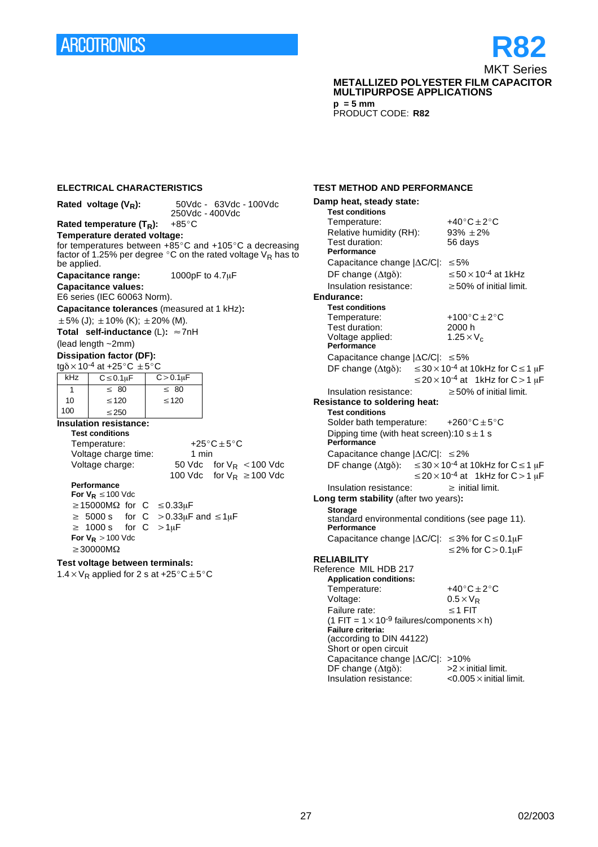# **ARCOTRONICS**

**ELECTRICAL CHARACTERISTICS**

## **R82** MKT Series **METALLIZED POLYESTER FILM CAPACITOR MULTIPURPOSE APPLICATIONS**

**p = 5 mm** PRODUCT CODE: **R82**

|                              | 50Vdc - 63Vdc - 100Vdc<br>Rated voltage $(V_R)$ :<br>250Vdc - 400Vdc                                                        |                 |                                                                                   |  |  |  |  |  |
|------------------------------|-----------------------------------------------------------------------------------------------------------------------------|-----------------|-----------------------------------------------------------------------------------|--|--|--|--|--|
|                              | Rated temperature $(T_R)$ :                                                                                                 | $+85^{\circ}$ C |                                                                                   |  |  |  |  |  |
| Temperature derated voltage: |                                                                                                                             |                 |                                                                                   |  |  |  |  |  |
|                              |                                                                                                                             |                 | for temperatures between $+85^{\circ}$ C and $+105^{\circ}$ C a decreasing        |  |  |  |  |  |
| be applied.                  |                                                                                                                             |                 | factor of 1.25% per degree $\degree$ C on the rated voltage V <sub>R</sub> has to |  |  |  |  |  |
|                              | Capacitance range:                                                                                                          |                 | 1000pF to 4.7µF                                                                   |  |  |  |  |  |
|                              | <b>Capacitance values:</b>                                                                                                  |                 |                                                                                   |  |  |  |  |  |
|                              | E6 series (IEC 60063 Norm).                                                                                                 |                 |                                                                                   |  |  |  |  |  |
|                              | Capacitance tolerances (measured at 1 kHz):                                                                                 |                 |                                                                                   |  |  |  |  |  |
|                              | $\pm 5\%$ (J); $\pm 10\%$ (K); $\pm 20\%$ (M).                                                                              |                 |                                                                                   |  |  |  |  |  |
|                              | Total self-inductance $(L): \approx 7nH$                                                                                    |                 |                                                                                   |  |  |  |  |  |
|                              | (lead length ~2mm)                                                                                                          |                 |                                                                                   |  |  |  |  |  |
|                              | <b>Dissipation factor (DF):</b>                                                                                             |                 |                                                                                   |  |  |  |  |  |
|                              | tg $\delta$ × 10 <sup>-4</sup> at +25°C $\pm$ 5°C                                                                           |                 |                                                                                   |  |  |  |  |  |
| kHz                          | $C \leq 0.1 \mu F$                                                                                                          | $C > 0.1 \mu F$ |                                                                                   |  |  |  |  |  |
| $\mathbf{1}$                 | $\leq 80$                                                                                                                   | $\leq 80$       |                                                                                   |  |  |  |  |  |
| 10                           | $\leq 120$                                                                                                                  | $\leq 120$      |                                                                                   |  |  |  |  |  |
| 100                          | $\leq$ 250                                                                                                                  |                 |                                                                                   |  |  |  |  |  |
|                              | <b>Insulation resistance:</b>                                                                                               |                 |                                                                                   |  |  |  |  |  |
|                              | <b>Test conditions</b>                                                                                                      |                 |                                                                                   |  |  |  |  |  |
|                              | Temperature:                                                                                                                |                 | $+25^{\circ}$ C $\pm$ 5°C                                                         |  |  |  |  |  |
|                              | Voltage charge time:                                                                                                        | 1 min           |                                                                                   |  |  |  |  |  |
|                              | Voltage charge:                                                                                                             | 50 Vdc          | for $V_R$ < 100 Vdc                                                               |  |  |  |  |  |
|                              | Performance                                                                                                                 | 100 Vdc         | for $V_R \ge 100$ Vdc                                                             |  |  |  |  |  |
|                              | For $V_R \le 100$ Vdc                                                                                                       |                 |                                                                                   |  |  |  |  |  |
|                              | $\geq$ 15000M $\Omega$ for C $\leq$ 0.33µF                                                                                  |                 |                                                                                   |  |  |  |  |  |
|                              | $\geq 5000$ s                                                                                                               |                 |                                                                                   |  |  |  |  |  |
| $\geq$                       | for $C > 0.33 \mu F$ and $\leq 1 \mu F$<br>$>1 \mu F$<br>1000 s<br>C<br>for                                                 |                 |                                                                                   |  |  |  |  |  |
|                              | For $V_R > 100$ Vdc                                                                                                         |                 |                                                                                   |  |  |  |  |  |
| $\geq$ 30000M $\Omega$       |                                                                                                                             |                 |                                                                                   |  |  |  |  |  |
|                              |                                                                                                                             |                 |                                                                                   |  |  |  |  |  |
|                              | Test voltage between terminals:<br>1.4 $\times$ V <sub>R</sub> applied for 2 s at +25 $\rm{^{\circ}C}$ ± 5 $\rm{^{\circ}C}$ |                 |                                                                                   |  |  |  |  |  |
|                              |                                                                                                                             |                 |                                                                                   |  |  |  |  |  |
|                              |                                                                                                                             |                 |                                                                                   |  |  |  |  |  |
|                              |                                                                                                                             |                 |                                                                                   |  |  |  |  |  |

#### **TEST METHOD AND PERFORMANCE**

| Damp heat, steady state:                                             |  |                                                                                                                |  |  |  |  |
|----------------------------------------------------------------------|--|----------------------------------------------------------------------------------------------------------------|--|--|--|--|
| <b>Test conditions</b>                                               |  |                                                                                                                |  |  |  |  |
| Temperature:                                                         |  | $+40^{\circ}$ C $\pm$ 2°C                                                                                      |  |  |  |  |
| Relative humidity (RH):                                              |  |                                                                                                                |  |  |  |  |
| Test duration:                                                       |  | $93\% \pm 2\%$<br>56 days                                                                                      |  |  |  |  |
| Performance                                                          |  |                                                                                                                |  |  |  |  |
| Capacitance change $ \Delta C/C $ : $\leq 5\%$                       |  |                                                                                                                |  |  |  |  |
| DF change $(\Delta t g \delta)$ :                                    |  | $\leq$ 50 $\times$ 10 <sup>-4</sup> at 1kHz                                                                    |  |  |  |  |
| Insulation resistance:                                               |  | $\geq$ 50% of initial limit.                                                                                   |  |  |  |  |
| Endurance:                                                           |  |                                                                                                                |  |  |  |  |
| <b>Test conditions</b>                                               |  |                                                                                                                |  |  |  |  |
| Temperature:                                                         |  | +100 $^{\circ}$ C ± 2 $^{\circ}$ C                                                                             |  |  |  |  |
| Test duration:                                                       |  | 2000 h                                                                                                         |  |  |  |  |
| Voltage applied:                                                     |  | $1.25 \times V_c$                                                                                              |  |  |  |  |
| Performance                                                          |  |                                                                                                                |  |  |  |  |
| Capacitance change $ \Delta C/C $ : $\leq 5\%$                       |  |                                                                                                                |  |  |  |  |
|                                                                      |  | DF change ( $\Delta$ tg $\delta$ ): $\leq 30 \times 10^{-4}$ at 10kHz for C $\leq 1 \mu$ F                     |  |  |  |  |
|                                                                      |  | $\leq$ 20 $\times$ 10 <sup>-4</sup> at 1kHz for C > 1 $\mu$ F                                                  |  |  |  |  |
| Insulation resistance:                                               |  | $\geq$ 50% of initial limit.                                                                                   |  |  |  |  |
| <b>Resistance to soldering heat:</b>                                 |  |                                                                                                                |  |  |  |  |
| <b>Test conditions</b>                                               |  |                                                                                                                |  |  |  |  |
| Solder bath temperature: $+260^{\circ}$ C $\pm$ 5°C                  |  |                                                                                                                |  |  |  |  |
| Dipping time (with heat screen): 10 $s \pm 1$ s<br>Performance       |  |                                                                                                                |  |  |  |  |
| Capacitance change $ \Delta C/C $ : $\leq$ 2%                        |  |                                                                                                                |  |  |  |  |
| DF change $(\Delta t g \delta)$ :                                    |  | $\leq$ 30 × 10 <sup>-4</sup> at 10kHz for C ≤ 1 µF<br>$\leq$ 20 $\times$ 10 <sup>-4</sup> at 1kHz for C > 1 µF |  |  |  |  |
| Insulation resistance:                                               |  | $\geq$ initial limit.                                                                                          |  |  |  |  |
| Long term stability (after two years):                               |  |                                                                                                                |  |  |  |  |
| <b>Storage</b><br>standard environmental conditions (see page 11).   |  |                                                                                                                |  |  |  |  |
| Performance                                                          |  |                                                                                                                |  |  |  |  |
| Capacitance change $ \Delta C/C $ : $\leq$ 3% for $C \leq 0.1 \mu$ F |  |                                                                                                                |  |  |  |  |
|                                                                      |  | $\leq$ 2% for C $>$ 0.1 $\mu$ F                                                                                |  |  |  |  |
| <b>RELIABILITY</b><br>Reference MIL HDB 217                          |  |                                                                                                                |  |  |  |  |
| <b>Application conditions:</b>                                       |  |                                                                                                                |  |  |  |  |
| Temperature:                                                         |  | $+40^{\circ}$ C $\pm 2^{\circ}$ C                                                                              |  |  |  |  |
| Voltage:                                                             |  | $0.5 \times V_R$                                                                                               |  |  |  |  |
| Failure rate:                                                        |  | $\leq$ 1 FIT                                                                                                   |  |  |  |  |
| (1 FIT = $1 \times 10^{-9}$ failures/components $\times$ h)          |  |                                                                                                                |  |  |  |  |
| Failure criteria:                                                    |  |                                                                                                                |  |  |  |  |
| (according to DIN 44122)                                             |  |                                                                                                                |  |  |  |  |
| Short or open circuit                                                |  |                                                                                                                |  |  |  |  |
| Capacitance change   $\Delta$ C/C : >10%                             |  |                                                                                                                |  |  |  |  |
| $DF$ change ( $\Delta$ tg $\delta$ ):<br>Insulation resistance:      |  | $>2\times$ initial limit.<br>$<$ 0.005 $\times$ initial limit.                                                 |  |  |  |  |
|                                                                      |  |                                                                                                                |  |  |  |  |